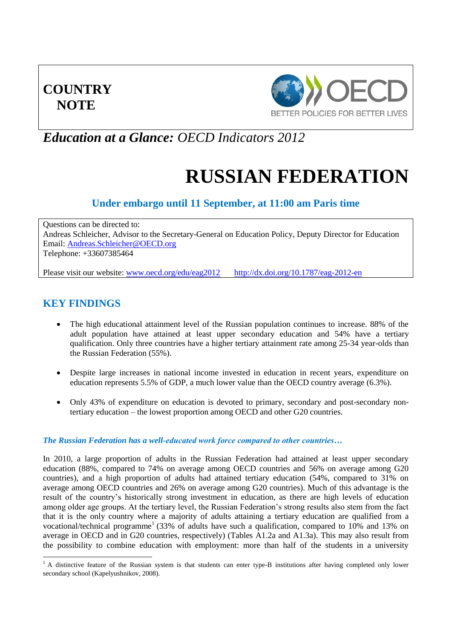# **COUNTRY NOTE**



# *Education at a Glance: OECD Indicators 2012*

# **RUSSIAN FEDERATION**

# **Under embargo until 11 September, at 11:00 am Paris time**

Questions can be directed to: Andreas Schleicher, Advisor to the Secretary-General on Education Policy, Deputy Director for Education Email: [Andreas.Schleicher@OECD.org](mailto:Andreas.Schleicher@OECD.org) Telephone: +33607385464

Please visit our website: [www.oecd.org/edu/eag2012](http://www.oecd.org/edu/eag2012) <http://dx.doi.org/10.1787/eag-2012-en>

## **KEY FINDINGS**

- The high educational attainment level of the Russian population continues to increase. 88% of the adult population have attained at least upper secondary education and 54% have a tertiary qualification. Only three countries have a higher tertiary attainment rate among 25-34 year-olds than the Russian Federation (55%).
- Despite large increases in national income invested in education in recent years, expenditure on education represents 5.5% of GDP, a much lower value than the OECD country average (6.3%).
- Only 43% of expenditure on education is devoted to primary, secondary and post-secondary nontertiary education – the lowest proportion among OECD and other G20 countries.

### *The Russian Federation has a well-educated work force compared to other countries…*

In 2010, a large proportion of adults in the Russian Federation had attained at least upper secondary education (88%, compared to 74% on average among OECD countries and 56% on average among G20 countries), and a high proportion of adults had attained tertiary education (54%, compared to 31% on average among OECD countries and 26% on average among G20 countries). Much of this advantage is the result of the country's historically strong investment in education, as there are high levels of education among older age groups. At the tertiary level, the Russian Federation's strong results also stem from the fact that it is the only country where a majority of adults attaining a tertiary education are qualified from a vocational/technical programme<sup>1</sup> (33% of adults have such a qualification, compared to 10% and 13% on average in OECD and in G20 countries, respectively) (Tables A1.2a and A1.3a). This may also result from the possibility to combine education with employment: more than half of the students in a university

<sup>-</sup> $<sup>1</sup>$  A distinctive feature of the Russian system is that students can enter type-B institutions after having completed only lower</sup> secondary school (Kapelyushnikov, 2008).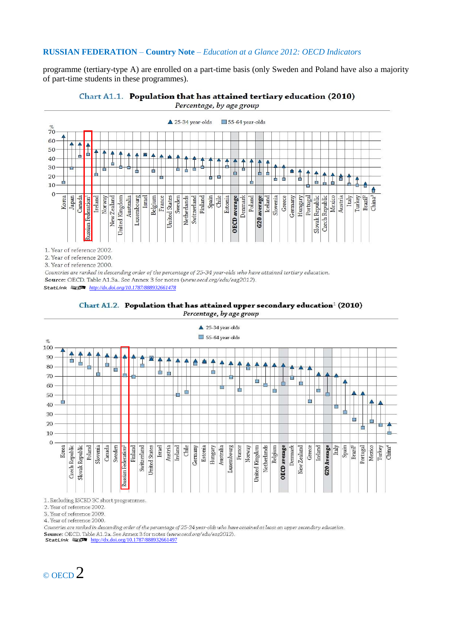programme (tertiary-type A) are enrolled on a part-time basis (only Sweden and Poland have also a majority of part-time students in these programmes).





Percentage, by age group

1. Year of reference 2002.

2. Year of reference 2009.

3. Year of reference 2000.

Countries are ranked in descending order of the percentage of 25-34 year-olds who have attained tertiary education. Source: OECD. Table A1.3a. See Annex 3 for notes (www.oecd.org/edu/eag2012).

1 2 *<http://dx.doi.org/10.1787/888932661478>*





1. Excluding ISCED 3C short programmes

2. Year of reference 2002.

3. Year of reference 2009.

4. Year of reference 2000.

Countries are ranked in descending order of the percentage of 25-34 year-olds who have attained at least an upper secondary education. Source: OECD. Table A1.2a. See Annex 3 for notes (www.oecd.org/edu/eag2012).<br>StatLink  $\frac{1}{2}$  <http://dx.doi.org/10.1787/888932661497>

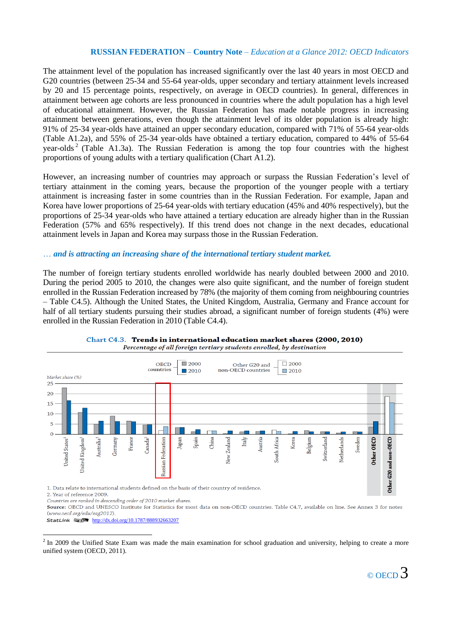The attainment level of the population has increased significantly over the last 40 years in most OECD and G20 countries (between 25-34 and 55-64 year-olds, upper secondary and tertiary attainment levels increased by 20 and 15 percentage points, respectively, on average in OECD countries). In general, differences in attainment between age cohorts are less pronounced in countries where the adult population has a high level of educational attainment. However, the Russian Federation has made notable progress in increasing attainment between generations, even though the attainment level of its older population is already high: 91% of 25-34 year-olds have attained an upper secondary education, compared with 71% of 55-64 year-olds (Table A1.2a), and 55% of 25-34 year-olds have obtained a tertiary education, compared to 44% of 55-64 year-olds<sup>2</sup> (Table A1.3a). The Russian Federation is among the top four countries with the highest proportions of young adults with a tertiary qualification (Chart A1.2).

However, an increasing number of countries may approach or surpass the Russian Federation's level of tertiary attainment in the coming years, because the proportion of the younger people with a tertiary attainment is increasing faster in some countries than in the Russian Federation. For example, Japan and Korea have lower proportions of 25-64 year-olds with tertiary education (45% and 40% respectively), but the proportions of 25-34 year-olds who have attained a tertiary education are already higher than in the Russian Federation (57% and 65% respectively). If this trend does not change in the next decades, educational attainment levels in Japan and Korea may surpass those in the Russian Federation.

### … *and is attracting an increasing share of the international tertiary student market.*

The number of foreign tertiary students enrolled worldwide has nearly doubled between 2000 and 2010. During the period 2005 to 2010, the changes were also quite significant, and the number of foreign student enrolled in the Russian Federation increased by 78% (the majority of them coming from neighbouring countries – Table C4.5). Although the United States, the United Kingdom, Australia, Germany and France account for half of all tertiary students pursuing their studies abroad, a significant number of foreign students (4%) were enrolled in the Russian Federation in 2010 (Table C4.4).



Chart C4.3. Trends in international education market shares (2000, 2010) Percentage of all foreign tertiary students enrolled, by destination

1. Data relate to international students defined on the basis of their country of residence.

2. Year of reference 2009.

1

Countries are ranked in descending order of 2010 market shares.

Source: OECD and UNESCO Institute for Statistics for most data on non-OECD countries. Table C4.7, available on line. See Annex 3 for notes (www.oecd.org/edu/eag2012).

StatLink 1 <http://dx.doi.org/10.1787/888932663207>

 $<sup>2</sup>$  In 2009 the Unified State Exam was made the main examination for school graduation and university, helping to create a more</sup> unified system (OECD, 2011).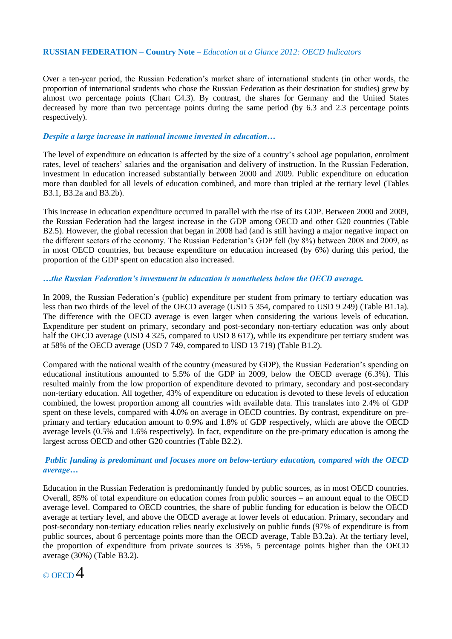Over a ten-year period, the Russian Federation's market share of international students (in other words, the proportion of international students who chose the Russian Federation as their destination for studies) grew by almost two percentage points (Chart C4.3). By contrast, the shares for Germany and the United States decreased by more than two percentage points during the same period (by 6.3 and 2.3 percentage points respectively).

### *Despite a large increase in national income invested in education…*

The level of expenditure on education is affected by the size of a country's school age population, enrolment rates, level of teachers' salaries and the organisation and delivery of instruction. In the Russian Federation, investment in education increased substantially between 2000 and 2009. Public expenditure on education more than doubled for all levels of education combined, and more than tripled at the tertiary level (Tables B3.1, B3.2a and B3.2b).

This increase in education expenditure occurred in parallel with the rise of its GDP. Between 2000 and 2009, the Russian Federation had the largest increase in the GDP among OECD and other G20 countries (Table B2.5). However, the global recession that began in 2008 had (and is still having) a major negative impact on the different sectors of the economy. The Russian Federation's GDP fell (by 8%) between 2008 and 2009, as in most OECD countries, but because expenditure on education increased (by 6%) during this period, the proportion of the GDP spent on education also increased.

### *…the Russian Federation's investment in education is nonetheless below the OECD average.*

In 2009, the Russian Federation's (public) expenditure per student from primary to tertiary education was less than two thirds of the level of the OECD average (USD 5 354, compared to USD 9 249) (Table B1.1a). The difference with the OECD average is even larger when considering the various levels of education. Expenditure per student on primary, secondary and post-secondary non-tertiary education was only about half the OECD average (USD 4 325, compared to USD 8 617), while its expenditure per tertiary student was at 58% of the OECD average (USD 7 749, compared to USD 13 719) (Table B1.2).

Compared with the national wealth of the country (measured by GDP), the Russian Federation's spending on educational institutions amounted to 5.5% of the GDP in 2009, below the OECD average (6.3%). This resulted mainly from the low proportion of expenditure devoted to primary, secondary and post-secondary non-tertiary education. All together, 43% of expenditure on education is devoted to these levels of education combined, the lowest proportion among all countries with available data. This translates into 2.4% of GDP spent on these levels, compared with 4.0% on average in OECD countries. By contrast, expenditure on preprimary and tertiary education amount to 0.9% and 1.8% of GDP respectively, which are above the OECD average levels (0.5% and 1.6% respectively). In fact, expenditure on the pre-primary education is among the largest across OECD and other G20 countries (Table B2.2).

### *Public funding is predominant and focuses more on below-tertiary education, compared with the OECD average…*

Education in the Russian Federation is predominantly funded by public sources, as in most OECD countries. Overall, 85% of total expenditure on education comes from public sources – an amount equal to the OECD average level. Compared to OECD countries, the share of public funding for education is below the OECD average at tertiary level, and above the OECD average at lower levels of education. Primary, secondary and post-secondary non-tertiary education relies nearly exclusively on public funds (97% of expenditure is from public sources, about 6 percentage points more than the OECD average, Table B3.2a). At the tertiary level, the proportion of expenditure from private sources is 35%, 5 percentage points higher than the OECD average (30%) (Table B3.2).

# $_{\odot}$  of CD  $4$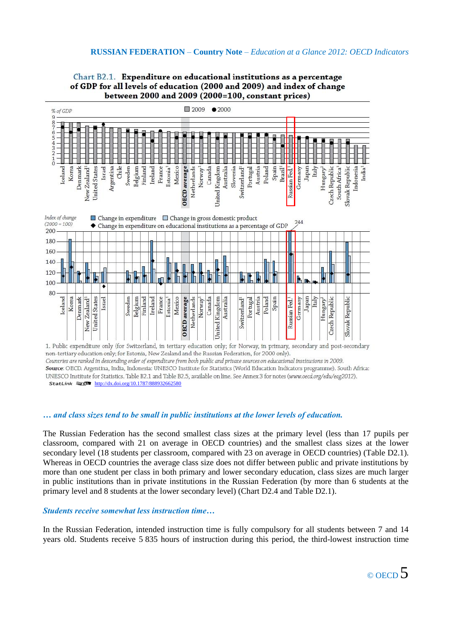#### of GDP for all levels of education (2000 and 2009) and index of change between 2000 and 2009 (2000=100, constant prices) 2009  $•2000$ % of GDP  $\overline{q}$  $\frac{8}{7}$ Si ta  $\frac{1}{6}$ Argentina Chile<sup>1</sup> Brazil<sup>1</sup> Korea Israel 3elgium France Netherlands Australia Portugal Poland Spain Japan Denmark Mexico Slovenia Germany Italy India<sup>1</sup> iceland Sweden inland reland Istonia<sup>1</sup> Canada Austria Indonesia Norway Hungary

Chart B2.1. Expenditure on educational institutions as a percentage



1. Public expenditure only (for Switzerland, in tertiary education only; for Norway, in primary, secondary and post-secondary non-tertiary education only; for Estonia, New Zealand and the Russian Federation, for 2000 only). Countries are ranked in descending order of expenditure from both public and private sources on educational institutions in 2009. Source: OECD. Argentina, India, Indonesia: UNESCO Institute for Statistics (World Education Indicators programme). South Africa: UNESCO Institute for Statistics. Table B2.1 and Table B2.5, available on line. See Annex 3 for notes (www.oecd.org/edu/eag2012). StatLink **1** 1 <http://dx.doi.org/10.1787/888932662580>

### *… and class sizes tend to be small in public institutions at the lower levels of education.*

The Russian Federation has the second smallest class sizes at the primary level (less than 17 pupils per classroom, compared with 21 on average in OECD countries) and the smallest class sizes at the lower secondary level (18 students per classroom, compared with 23 on average in OECD countries) (Table D2.1). Whereas in OECD countries the average class size does not differ between public and private institutions by more than one student per class in both primary and lower secondary education, class sizes are much larger in public institutions than in private institutions in the Russian Federation (by more than 6 students at the primary level and 8 students at the lower secondary level) (Chart D2.4 and Table D2.1).

### *Students receive somewhat less instruction time…*

In the Russian Federation, intended instruction time is fully compulsory for all students between 7 and 14 years old. Students receive 5 835 hours of instruction during this period, the third-lowest instruction time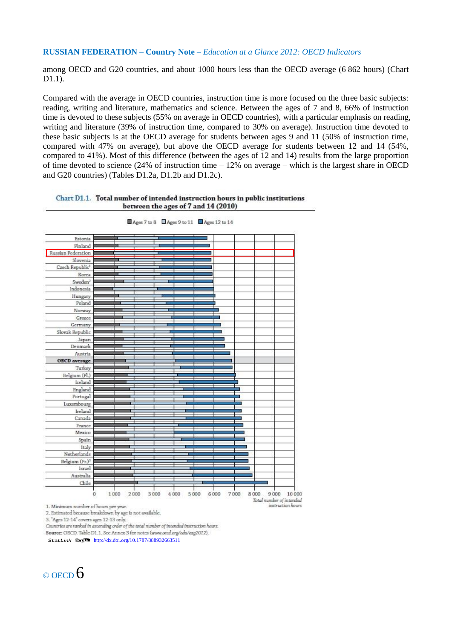among OECD and G20 countries, and about 1000 hours less than the OECD average (6 862 hours) (Chart D1.1).

Compared with the average in OECD countries, instruction time is more focused on the three basic subjects: reading, writing and literature, mathematics and science. Between the ages of 7 and 8, 66% of instruction time is devoted to these subjects (55% on average in OECD countries), with a particular emphasis on reading, writing and literature (39% of instruction time, compared to 30% on average). Instruction time devoted to these basic subjects is at the OECD average for students between ages 9 and 11 (50% of instruction time, compared with 47% on average), but above the OECD average for students between 12 and 14 (54%, compared to 41%). Most of this difference (between the ages of 12 and 14) results from the large proportion of time devoted to science (24% of instruction time – 12% on average – which is the largest share in OECD and G20 countries) (Tables D1.2a, D1.2b and D1.2c).

### Chart D1.1. Total number of intended instruction hours in public institutions between the ages of 7 and 14 (2010)



Ages 7 to 8 Ages 9 to 11 Ages 12 to 14

1. Minimum number of hours per year.

2. Estimated because breakdown by age is not available.

3. "Ages 12-14" covers ages 12-13 only.

Countries are ranked in ascending order of the total number of intended instruction hours.

Source: OECD. Table D1.1. See Annex 3 for notes (www.oecd.org/edu/eag2012).

StatLink **1 6 <http://dx.doi.org/10.1787/888932663511>** 

 $\circ$  OECD 6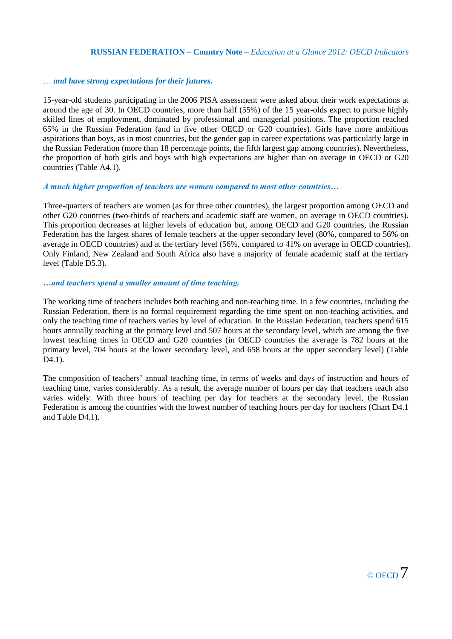### … *and have strong expectations for their futures.*

15-year-old students participating in the 2006 PISA assessment were asked about their work expectations at around the age of 30. In OECD countries, more than half (55%) of the 15 year-olds expect to pursue highly skilled lines of employment, dominated by professional and managerial positions. The proportion reached 65% in the Russian Federation (and in five other OECD or G20 countries). Girls have more ambitious aspirations than boys, as in most countries, but the gender gap in career expectations was particularly large in the Russian Federation (more than 18 percentage points, the fifth largest gap among countries). Nevertheless, the proportion of both girls and boys with high expectations are higher than on average in OECD or G20 countries (Table A4.1).

### *A much higher proportion of teachers are women compared to most other countries…*

Three-quarters of teachers are women (as for three other countries), the largest proportion among OECD and other G20 countries (two-thirds of teachers and academic staff are women, on average in OECD countries). This proportion decreases at higher levels of education but, among OECD and G20 countries, the Russian Federation has the largest shares of female teachers at the upper secondary level (80%, compared to 56% on average in OECD countries) and at the tertiary level (56%, compared to 41% on average in OECD countries). Only Finland, New Zealand and South Africa also have a majority of female academic staff at the tertiary level (Table D5.3).

### *…and teachers spend a smaller amount of time teaching.*

The working time of teachers includes both teaching and non-teaching time. In a few countries, including the Russian Federation, there is no formal requirement regarding the time spent on non-teaching activities, and only the teaching time of teachers varies by level of education. In the Russian Federation, teachers spend 615 hours annually teaching at the primary level and 507 hours at the secondary level, which are among the five lowest teaching times in OECD and G20 countries (in OECD countries the average is 782 hours at the primary level, 704 hours at the lower secondary level, and 658 hours at the upper secondary level) (Table D<sub>4.1</sub>).

The composition of teachers' annual teaching time, in terms of weeks and days of instruction and hours of teaching time, varies considerably. As a result, the average number of hours per day that teachers teach also varies widely. With three hours of teaching per day for teachers at the secondary level, the Russian Federation is among the countries with the lowest number of teaching hours per day for teachers (Chart D4.1 and Table D4.1).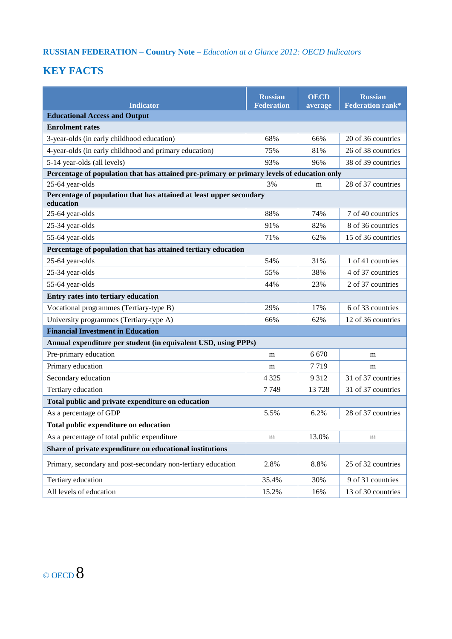# **KEY FACTS**

| <b>Indicator</b>                                                                           | <b>Russian</b><br><b>Federation</b> | <b>OECD</b><br>average | <b>Russian</b><br><b>Federation rank*</b> |  |  |
|--------------------------------------------------------------------------------------------|-------------------------------------|------------------------|-------------------------------------------|--|--|
| <b>Educational Access and Output</b>                                                       |                                     |                        |                                           |  |  |
| <b>Enrolment rates</b>                                                                     |                                     |                        |                                           |  |  |
| 3-year-olds (in early childhood education)                                                 | 68%                                 | 66%                    | 20 of 36 countries                        |  |  |
| 4-year-olds (in early childhood and primary education)                                     | 75%                                 | 81%                    | 26 of 38 countries                        |  |  |
| 5-14 year-olds (all levels)                                                                | 93%                                 | 96%                    | 38 of 39 countries                        |  |  |
| Percentage of population that has attained pre-primary or primary levels of education only |                                     |                        |                                           |  |  |
| 25-64 year-olds                                                                            | 3%                                  | m                      | 28 of 37 countries                        |  |  |
| Percentage of population that has attained at least upper secondary<br>education           |                                     |                        |                                           |  |  |
| 25-64 year-olds                                                                            | 88%                                 | 74%                    | 7 of 40 countries                         |  |  |
| 25-34 year-olds                                                                            | 91%                                 | 82%                    | 8 of 36 countries                         |  |  |
| 55-64 year-olds                                                                            | 71%                                 | 62%                    | 15 of 36 countries                        |  |  |
| Percentage of population that has attained tertiary education                              |                                     |                        |                                           |  |  |
| 25-64 year-olds                                                                            | 54%                                 | 31%                    | 1 of 41 countries                         |  |  |
| 25-34 year-olds                                                                            | 55%                                 | 38%                    | 4 of 37 countries                         |  |  |
| 55-64 year-olds                                                                            | 44%                                 | 23%                    | 2 of 37 countries                         |  |  |
| Entry rates into tertiary education                                                        |                                     |                        |                                           |  |  |
| Vocational programmes (Tertiary-type B)                                                    | 29%                                 | 17%                    | 6 of 33 countries                         |  |  |
| University programmes (Tertiary-type A)                                                    | 66%                                 | 62%                    | 12 of 36 countries                        |  |  |
| <b>Financial Investment in Education</b>                                                   |                                     |                        |                                           |  |  |
| Annual expenditure per student (in equivalent USD, using PPPs)                             |                                     |                        |                                           |  |  |
| Pre-primary education                                                                      | m                                   | 6 6 7 0                | m                                         |  |  |
| Primary education                                                                          | m                                   | 7719                   | m                                         |  |  |
| Secondary education                                                                        | 4 3 2 5                             | 9 3 1 2                | 31 of 37 countries                        |  |  |
| Tertiary education                                                                         | 7749                                | 13728                  | 31 of 37 countries                        |  |  |
| Total public and private expenditure on education                                          |                                     |                        |                                           |  |  |
| As a percentage of GDP                                                                     | 5.5%                                | 6.2%                   | 28 of 37 countries                        |  |  |
| Total public expenditure on education                                                      |                                     |                        |                                           |  |  |
| As a percentage of total public expenditure                                                | m                                   | 13.0%                  | m                                         |  |  |
| Share of private expenditure on educational institutions                                   |                                     |                        |                                           |  |  |
| Primary, secondary and post-secondary non-tertiary education                               | 2.8%                                | 8.8%                   | 25 of 32 countries                        |  |  |
| Tertiary education                                                                         | 35.4%                               | 30%                    | 9 of 31 countries                         |  |  |
| All levels of education                                                                    | 15.2%                               | 16%                    | 13 of 30 countries                        |  |  |